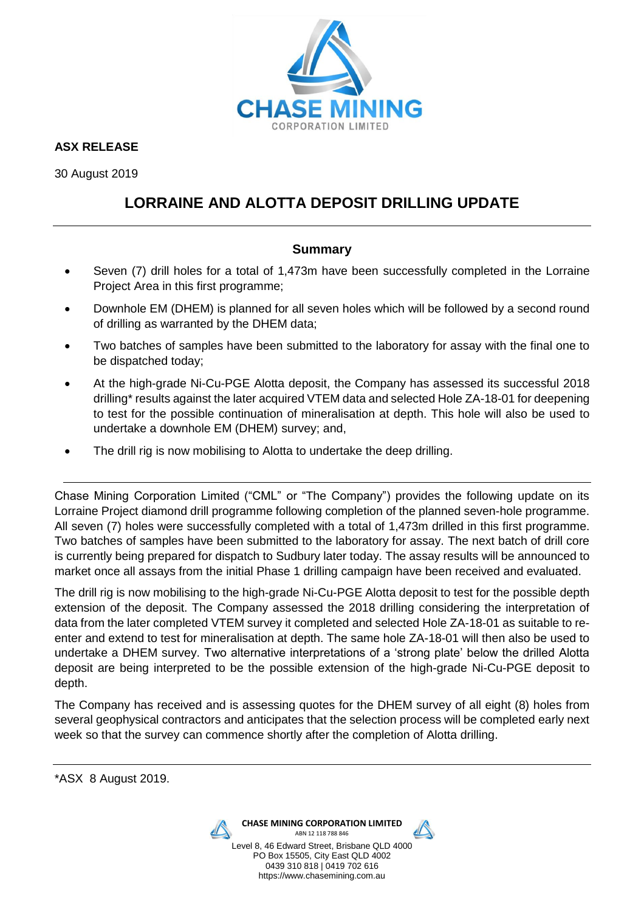

**ASX RELEASE**

30 August 2019

# **LORRAINE AND ALOTTA DEPOSIT DRILLING UPDATE**

### **Summary**

- Seven (7) drill holes for a total of 1,473m have been successfully completed in the Lorraine Project Area in this first programme;
- Downhole EM (DHEM) is planned for all seven holes which will be followed by a second round of drilling as warranted by the DHEM data;
- Two batches of samples have been submitted to the laboratory for assay with the final one to be dispatched today;
- At the high-grade Ni-Cu-PGE Alotta deposit, the Company has assessed its successful 2018 drilling\* results against the later acquired VTEM data and selected Hole ZA-18-01 for deepening to test for the possible continuation of mineralisation at depth. This hole will also be used to undertake a downhole EM (DHEM) survey; and,
- The drill rig is now mobilising to Alotta to undertake the deep drilling.

Chase Mining Corporation Limited ("CML" or "The Company") provides the following update on its Lorraine Project diamond drill programme following completion of the planned seven-hole programme. All seven (7) holes were successfully completed with a total of 1,473m drilled in this first programme. Two batches of samples have been submitted to the laboratory for assay. The next batch of drill core is currently being prepared for dispatch to Sudbury later today. The assay results will be announced to market once all assays from the initial Phase 1 drilling campaign have been received and evaluated.

The drill rig is now mobilising to the high-grade Ni-Cu-PGE Alotta deposit to test for the possible depth extension of the deposit. The Company assessed the 2018 drilling considering the interpretation of data from the later completed VTEM survey it completed and selected Hole ZA-18-01 as suitable to reenter and extend to test for mineralisation at depth. The same hole ZA-18-01 will then also be used to undertake a DHEM survey. Two alternative interpretations of a 'strong plate' below the drilled Alotta deposit are being interpreted to be the possible extension of the high-grade Ni-Cu-PGE deposit to depth.

The Company has received and is assessing quotes for the DHEM survey of all eight (8) holes from several geophysical contractors and anticipates that the selection process will be completed early next week so that the survey can commence shortly after the completion of Alotta drilling.

\*ASX 8 August 2019.



**CHASE MINING CORPORATION LIMITED** ABN 12 118 788 846



Level 8, 46 Edward Street, Brisbane QLD 4000 PO Box 15505, City East QLD 4002 0439 310 818 | 0419 702 616 https://www.chasemining.com.au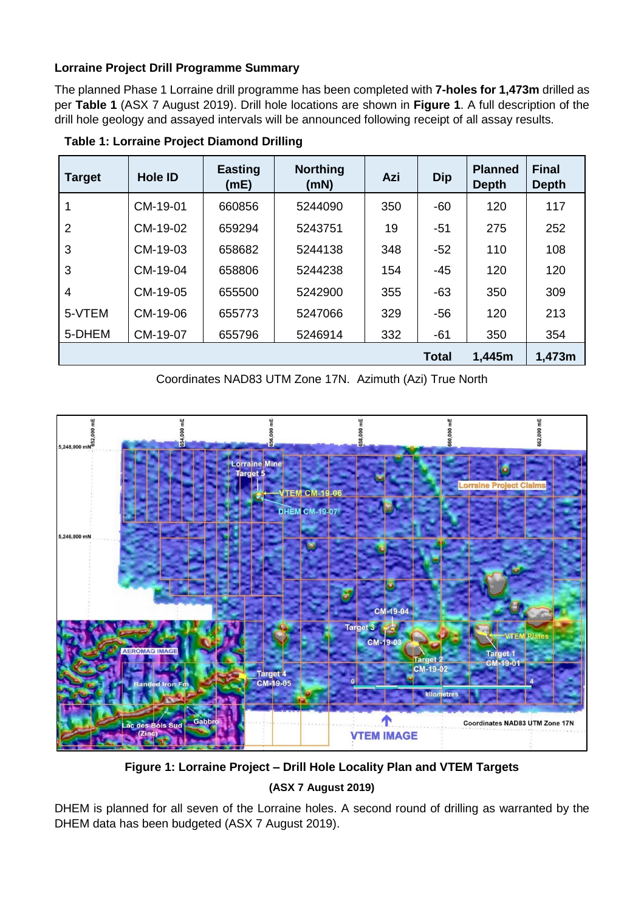### **Lorraine Project Drill Programme Summary**

The planned Phase 1 Lorraine drill programme has been completed with **7-holes for 1,473m** drilled as per **Table 1** (ASX 7 August 2019). Drill hole locations are shown in **Figure 1**. A full description of the drill hole geology and assayed intervals will be announced following receipt of all assay results.

| <b>Target</b>  | <b>Hole ID</b> | <b>Easting</b><br>(mE) | <b>Northing</b><br>(mN) | Azi | <b>Dip</b>   | <b>Planned</b><br><b>Depth</b> | <b>Final</b><br><b>Depth</b> |
|----------------|----------------|------------------------|-------------------------|-----|--------------|--------------------------------|------------------------------|
|                | CM-19-01       | 660856                 | 5244090                 | 350 | -60          | 120                            | 117                          |
| $\overline{2}$ | CM-19-02       | 659294                 | 5243751                 | 19  | $-51$        | 275                            | 252                          |
| 3              | CM-19-03       | 658682                 | 5244138                 | 348 | $-52$        | 110                            | 108                          |
| 3              | CM-19-04       | 658806                 | 5244238                 | 154 | $-45$        | 120                            | 120                          |
| $\overline{4}$ | CM-19-05       | 655500                 | 5242900                 | 355 | $-63$        | 350                            | 309                          |
| 5-VTEM         | CM-19-06       | 655773                 | 5247066                 | 329 | -56          | 120                            | 213                          |
| 5-DHEM         | CM-19-07       | 655796                 | 5246914                 | 332 | $-61$        | 350                            | 354                          |
|                |                |                        |                         |     | <b>Total</b> | 1,445m                         | 1,473m                       |

 **Table 1: Lorraine Project Diamond Drilling**

Coordinates NAD83 UTM Zone 17N. Azimuth (Azi) True North



**Figure 1: Lorraine Project – Drill Hole Locality Plan and VTEM Targets**

# **(ASX 7 August 2019)**

DHEM is planned for all seven of the Lorraine holes. A second round of drilling as warranted by the DHEM data has been budgeted (ASX 7 August 2019).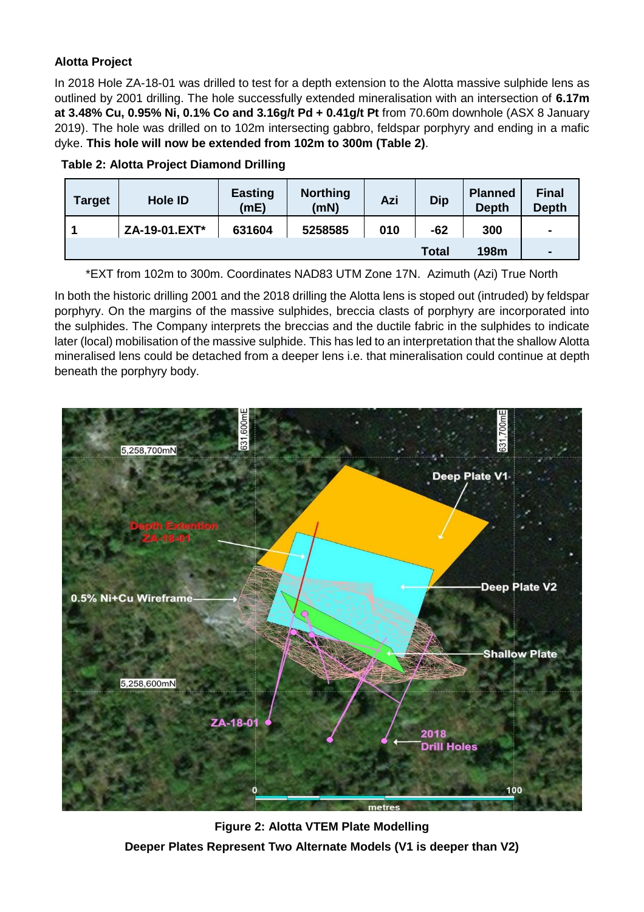# **Alotta Project**

In 2018 Hole ZA-18-01 was drilled to test for a depth extension to the Alotta massive sulphide lens as outlined by 2001 drilling. The hole successfully extended mineralisation with an intersection of **6.17m at 3.48% Cu, 0.95% Ni, 0.1% Co and 3.16g/t Pd + 0.41g/t Pt** from 70.60m downhole (ASX 8 January 2019). The hole was drilled on to 102m intersecting gabbro, feldspar porphyry and ending in a mafic dyke. **This hole will now be extended from 102m to 300m (Table 2)**.

| <b>Target</b> | <b>Hole ID</b> | <b>Easting</b><br>(mE) | <b>Northing</b><br>(mN) | Azi | <b>Dip</b>   | <b>Planned</b><br><b>Depth</b> | <b>Final</b><br><b>Depth</b> |
|---------------|----------------|------------------------|-------------------------|-----|--------------|--------------------------------|------------------------------|
|               | ZA-19-01.EXT*  | 631604                 | 5258585                 | 010 | $-62$        | 300                            | $\blacksquare$               |
|               |                |                        |                         |     | <b>Total</b> | 198m                           | $\blacksquare$               |



\*EXT from 102m to 300m. Coordinates NAD83 UTM Zone 17N. Azimuth (Azi) True North

In both the historic drilling 2001 and the 2018 drilling the Alotta lens is stoped out (intruded) by feldspar porphyry. On the margins of the massive sulphides, breccia clasts of porphyry are incorporated into the sulphides. The Company interprets the breccias and the ductile fabric in the sulphides to indicate later (local) mobilisation of the massive sulphide. This has led to an interpretation that the shallow Alotta mineralised lens could be detached from a deeper lens i.e. that mineralisation could continue at depth beneath the porphyry body.



**Figure 2: Alotta VTEM Plate Modelling Deeper Plates Represent Two Alternate Models (V1 is deeper than V2)**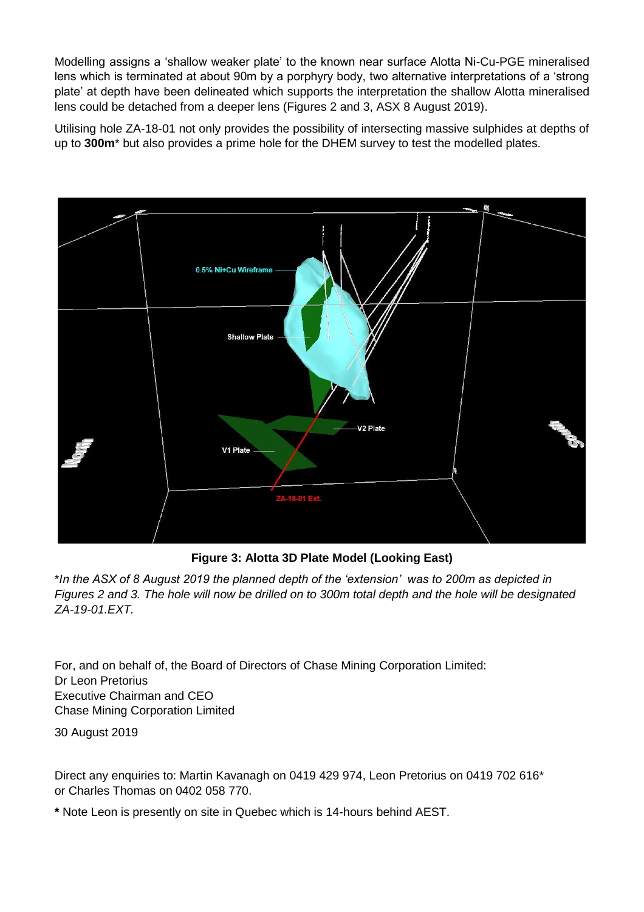Modelling assigns a 'shallow weaker plate' to the known near surface Alotta Ni-Cu-PGE mineralised lens which is terminated at about 90m by a porphyry body, two alternative interpretations of a 'strong plate' at depth have been delineated which supports the interpretation the shallow Alotta mineralised lens could be detached from a deeper lens (Figures 2 and 3, ASX 8 August 2019).

Utilising hole ZA-18-01 not only provides the possibility of intersecting massive sulphides at depths of up to **300m**\* but also provides a prime hole for the DHEM survey to test the modelled plates.



**Figure 3: Alotta 3D Plate Model (Looking East)**

\**In the ASX of 8 August 2019 the planned depth of the 'extension' was to 200m as depicted in Figures 2 and 3. The hole will now be drilled on to 300m total depth and the hole will be designated ZA-19-01.EXT.*

For, and on behalf of, the Board of Directors of Chase Mining Corporation Limited: Dr Leon Pretorius Executive Chairman and CEO Chase Mining Corporation Limited

30 August 2019

Direct any enquiries to: Martin Kavanagh on 0419 429 974, Leon Pretorius on 0419 702 616\* or Charles Thomas on 0402 058 770.

**\*** Note Leon is presently on site in Quebec which is 14-hours behind AEST.